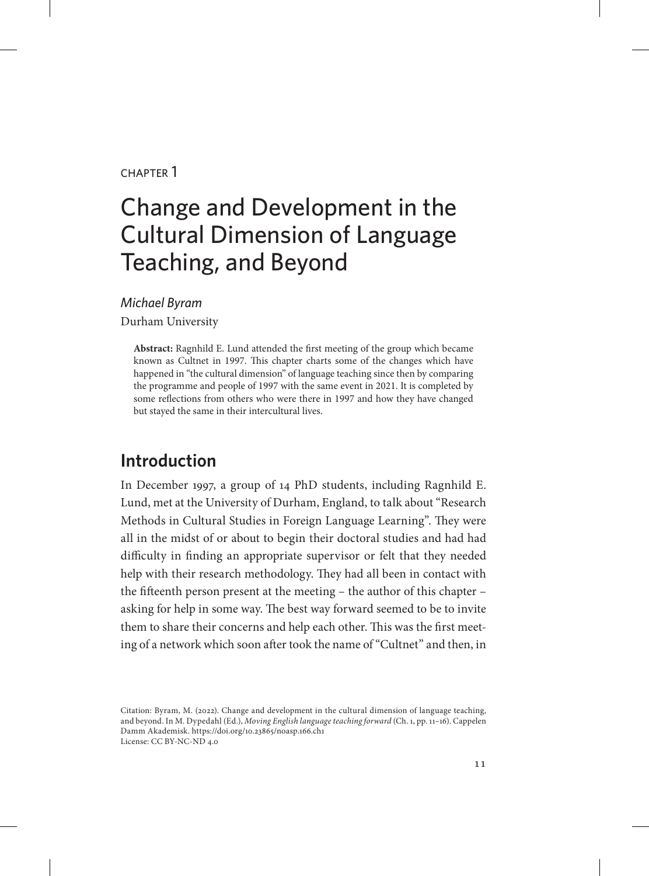#### chapter 1

# Change and Development in the Cultural Dimension of Language Teaching, and Beyond

#### *Michael Byram*

Durham University

**Abstract:** Ragnhild E. Lund attended the first meeting of the group which became known as Cultnet in 1997. This chapter charts some of the changes which have happened in "the cultural dimension" of language teaching since then by comparing the programme and people of 1997 with the same event in 2021. It is completed by some reflections from others who were there in 1997 and how they have changed but stayed the same in their intercultural lives.

# **Introduction**

In December 1997, a group of 14 PhD students, including Ragnhild E. Lund, met at the University of Durham, England, to talk about "Research Methods in Cultural Studies in Foreign Language Learning". They were all in the midst of or about to begin their doctoral studies and had had difficulty in finding an appropriate supervisor or felt that they needed help with their research methodology. They had all been in contact with the fifteenth person present at the meeting – the author of this chapter – asking for help in some way. The best way forward seemed to be to invite them to share their concerns and help each other. This was the first meeting of a network which soon after took the name of "Cultnet" and then, in

Citation: Byram, M. (2022). Change and development in the cultural dimension of language teaching, and beyond. In M. Dypedahl (Ed.), *Moving English language teaching forward* (Ch. 1, pp. 11–16). Cappelen Damm Akademisk. https://doi.org/10.23865/noasp.166.ch1 License: CC BY-NC-ND 4.0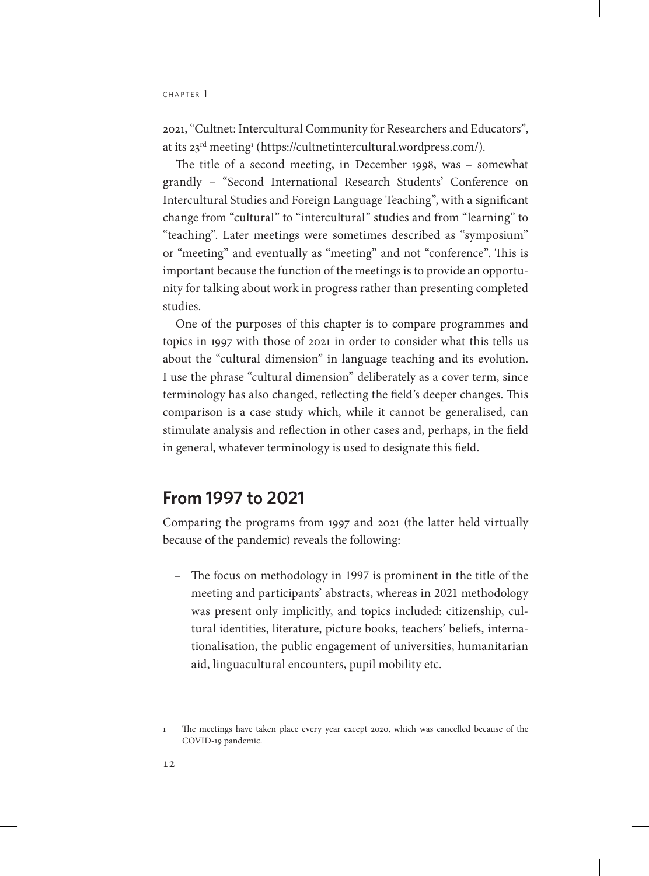2021, "Cultnet: Intercultural Community for Researchers and Educators", at its 23<sup>rd</sup> meeting<sup>1</sup> (https://cultnetintercultural.wordpress.com/).

The title of a second meeting, in December 1998, was – somewhat grandly – "Second International Research Students' Conference on Intercultural Studies and Foreign Language Teaching", with a significant change from "cultural" to "intercultural" studies and from "learning" to "teaching". Later meetings were sometimes described as "symposium" or "meeting" and eventually as "meeting" and not "conference". This is important because the function of the meetings is to provide an opportunity for talking about work in progress rather than presenting completed studies.

One of the purposes of this chapter is to compare programmes and topics in 1997 with those of 2021 in order to consider what this tells us about the "cultural dimension" in language teaching and its evolution. I use the phrase "cultural dimension" deliberately as a cover term, since terminology has also changed, reflecting the field's deeper changes. This comparison is a case study which, while it cannot be generalised, can stimulate analysis and reflection in other cases and, perhaps, in the field in general, whatever terminology is used to designate this field.

# **From 1997 to 2021**

Comparing the programs from 1997 and 2021 (the latter held virtually because of the pandemic) reveals the following:

– The focus on methodology in 1997 is prominent in the title of the meeting and participants' abstracts, whereas in 2021 methodology was present only implicitly, and topics included: citizenship, cultural identities, literature, picture books, teachers' beliefs, internationalisation, the public engagement of universities, humanitarian aid, linguacultural encounters, pupil mobility etc.

<sup>1</sup> The meetings have taken place every year except 2020, which was cancelled because of the COVID-19 pandemic.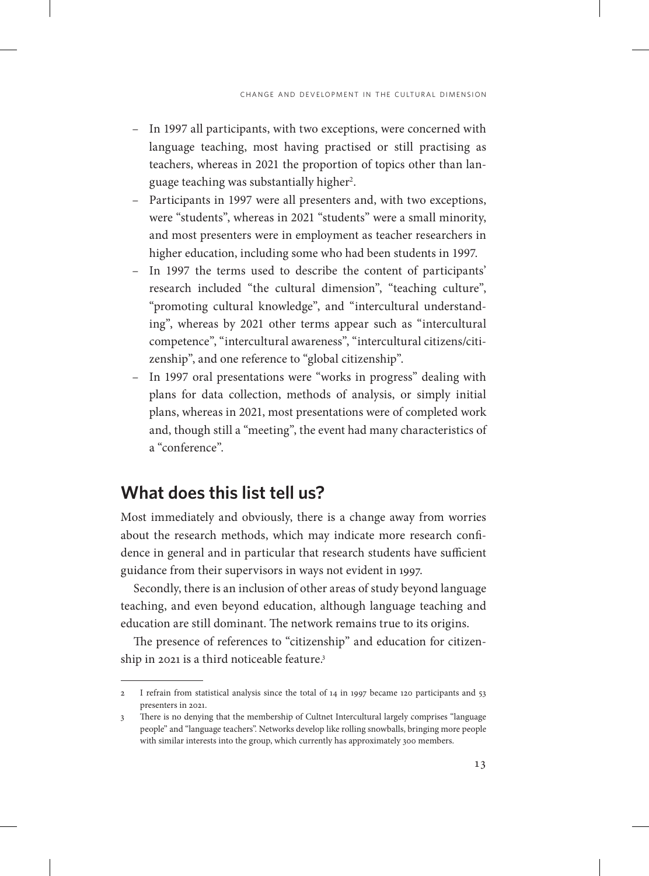- In 1997 all participants, with two exceptions, were concerned with language teaching, most having practised or still practising as teachers, whereas in 2021 the proportion of topics other than language teaching was substantially higher<sup>2</sup>.
- Participants in 1997 were all presenters and, with two exceptions, were "students", whereas in 2021 "students" were a small minority, and most presenters were in employment as teacher researchers in higher education, including some who had been students in 1997.
- In 1997 the terms used to describe the content of participants' research included "the cultural dimension", "teaching culture", "promoting cultural knowledge", and "intercultural understanding", whereas by 2021 other terms appear such as "intercultural competence", "intercultural awareness", "intercultural citizens/citizenship", and one reference to "global citizenship".
- In 1997 oral presentations were "works in progress" dealing with plans for data collection, methods of analysis, or simply initial plans, whereas in 2021, most presentations were of completed work and, though still a "meeting", the event had many characteristics of a "conference".

### **What does this list tell us?**

Most immediately and obviously, there is a change away from worries about the research methods, which may indicate more research confidence in general and in particular that research students have sufficient guidance from their supervisors in ways not evident in 1997.

Secondly, there is an inclusion of other areas of study beyond language teaching, and even beyond education, although language teaching and education are still dominant. The network remains true to its origins.

The presence of references to "citizenship" and education for citizenship in 2021 is a third noticeable feature.<sup>3</sup>

<sup>2</sup> I refrain from statistical analysis since the total of 14 in 1997 became 120 participants and 53 presenters in 2021.

<sup>3</sup> There is no denying that the membership of Cultnet Intercultural largely comprises "language people" and "language teachers". Networks develop like rolling snowballs, bringing more people with similar interests into the group, which currently has approximately 300 members.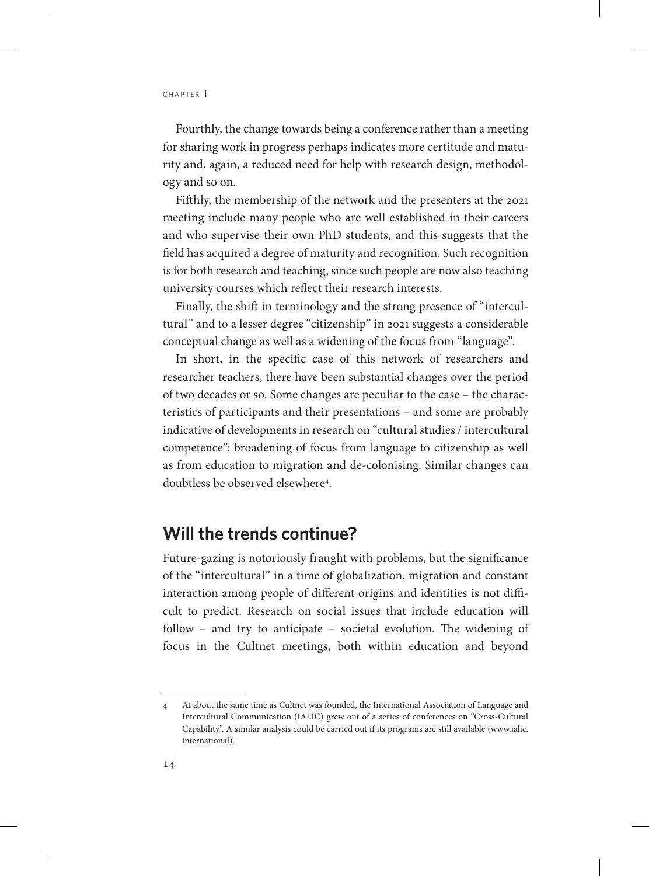CHAPTER 1

Fourthly, the change towards being a conference rather than a meeting for sharing work in progress perhaps indicates more certitude and maturity and, again, a reduced need for help with research design, methodology and so on.

Fifthly, the membership of the network and the presenters at the 2021 meeting include many people who are well established in their careers and who supervise their own PhD students, and this suggests that the field has acquired a degree of maturity and recognition. Such recognition is for both research and teaching, since such people are now also teaching university courses which reflect their research interests.

Finally, the shift in terminology and the strong presence of "intercultural" and to a lesser degree "citizenship" in 2021 suggests a considerable conceptual change as well as a widening of the focus from "language".

In short, in the specific case of this network of researchers and researcher teachers, there have been substantial changes over the period of two decades or so. Some changes are peculiar to the case – the characteristics of participants and their presentations – and some are probably indicative of developments in research on "cultural studies / intercultural competence": broadening of focus from language to citizenship as well as from education to migration and de-colonising. Similar changes can doubtless be observed elsewhere<sup>4</sup>.

## **Will the trends continue?**

Future-gazing is notoriously fraught with problems, but the significance of the "intercultural" in a time of globalization, migration and constant interaction among people of different origins and identities is not difficult to predict. Research on social issues that include education will follow – and try to anticipate – societal evolution. The widening of focus in the Cultnet meetings, both within education and beyond

<sup>4</sup> At about the same time as Cultnet was founded, the International Association of Language and Intercultural Communication (IALIC) grew out of a series of conferences on "Cross-Cultural Capability". A similar analysis could be carried out if its programs are still available ([www.ialic.](http://www.ialic.international) [international\)](http://www.ialic.international).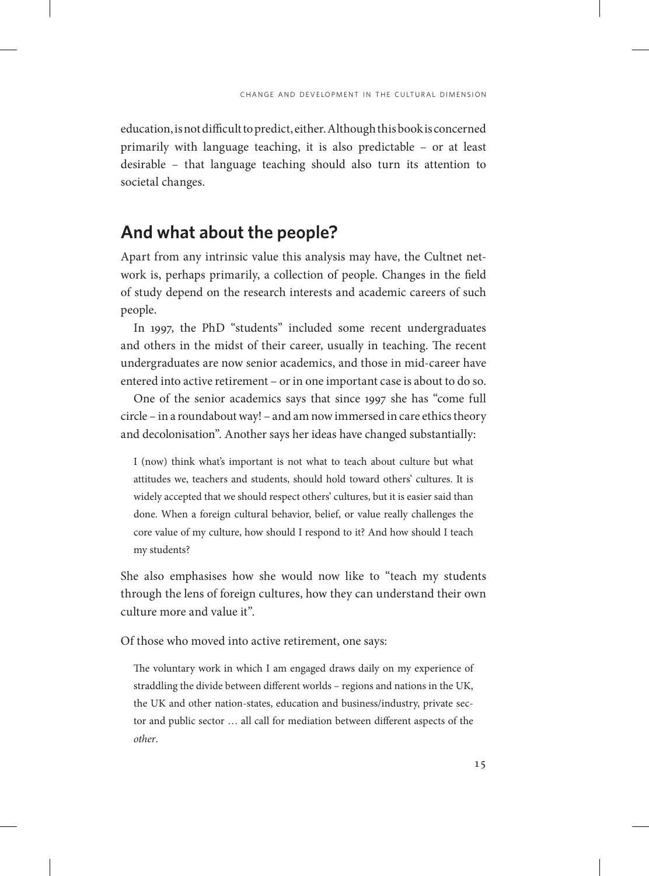education, is not difficult to predict, either. Although this book is concerned primarily with language teaching, it is also predictable – or at least desirable – that language teaching should also turn its attention to societal changes.

## **And what about the people?**

Apart from any intrinsic value this analysis may have, the Cultnet network is, perhaps primarily, a collection of people. Changes in the field of study depend on the research interests and academic careers of such people.

In 1997, the PhD "students" included some recent undergraduates and others in the midst of their career, usually in teaching. The recent undergraduates are now senior academics, and those in mid-career have entered into active retirement – or in one important case is about to do so.

One of the senior academics says that since 1997 she has "come full circle – in a roundabout way! – and am now immersed in care ethics theory and decolonisation". Another says her ideas have changed substantially:

I (now) think what's important is not what to teach about culture but what attitudes we, teachers and students, should hold toward others' cultures. It is widely accepted that we should respect others' cultures, but it is easier said than done. When a foreign cultural behavior, belief, or value really challenges the core value of my culture, how should I respond to it? And how should I teach my students?

She also emphasises how she would now like to "teach my students through the lens of foreign cultures, how they can understand their own culture more and value it".

Of those who moved into active retirement, one says:

The voluntary work in which I am engaged draws daily on my experience of straddling the divide between different worlds – regions and nations in the UK, the UK and other nation-states, education and business/industry, private sector and public sector … all call for mediation between different aspects of the *other*.